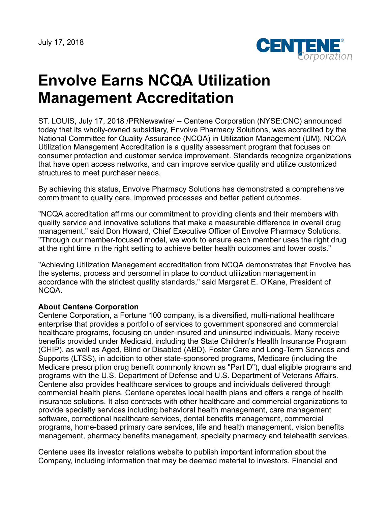July 17, 2018



# **Envolve Earns NCQA Utilization Management Accreditation**

ST. LOUIS, July 17, 2018 /PRNewswire/ -- Centene Corporation (NYSE:CNC) announced today that its wholly-owned subsidiary, Envolve Pharmacy Solutions, was accredited by the National Committee for Quality Assurance (NCQA) in Utilization Management (UM). NCQA Utilization Management Accreditation is a quality assessment program that focuses on consumer protection and customer service improvement. Standards recognize organizations that have open access networks, and can improve service quality and utilize customized structures to meet purchaser needs.

By achieving this status, Envolve Pharmacy Solutions has demonstrated a comprehensive commitment to quality care, improved processes and better patient outcomes.

"NCQA accreditation affirms our commitment to providing clients and their members with quality service and innovative solutions that make a measurable difference in overall drug management," said Don Howard, Chief Executive Officer of Envolve Pharmacy Solutions. "Through our member-focused model, we work to ensure each member uses the right drug at the right time in the right setting to achieve better health outcomes and lower costs."

"Achieving Utilization Management accreditation from NCQA demonstrates that Envolve has the systems, process and personnel in place to conduct utilization management in accordance with the strictest quality standards," said Margaret E. O'Kane, President of NCQA.

### **About Centene Corporation**

Centene Corporation, a Fortune 100 company, is a diversified, multi-national healthcare enterprise that provides a portfolio of services to government sponsored and commercial healthcare programs, focusing on under-insured and uninsured individuals. Many receive benefits provided under Medicaid, including the State Children's Health Insurance Program (CHIP), as well as Aged, Blind or Disabled (ABD), Foster Care and Long-Term Services and Supports (LTSS), in addition to other state-sponsored programs, Medicare (including the Medicare prescription drug benefit commonly known as "Part D"), dual eligible programs and programs with the U.S. Department of Defense and U.S. Department of Veterans Affairs. Centene also provides healthcare services to groups and individuals delivered through commercial health plans. Centene operates local health plans and offers a range of health insurance solutions. It also contracts with other healthcare and commercial organizations to provide specialty services including behavioral health management, care management software, correctional healthcare services, dental benefits management, commercial programs, home-based primary care services, life and health management, vision benefits management, pharmacy benefits management, specialty pharmacy and telehealth services.

Centene uses its investor relations website to publish important information about the Company, including information that may be deemed material to investors. Financial and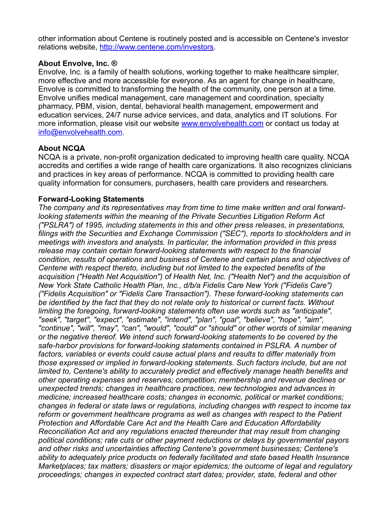other information about Centene is routinely posted and is accessible on Centene's investor relations website, <http://www.centene.com/investors>.

### **About Envolve, Inc. ®**

Envolve, Inc. is a family of health solutions, working together to make healthcare simpler, more effective and more accessible for everyone. As an agent for change in healthcare, Envolve is committed to transforming the health of the community, one person at a time. Envolve unifies medical management, care management and coordination, specialty pharmacy, PBM, vision, dental, behavioral health management, empowerment and education services, 24/7 nurse advice services, and data, analytics and IT solutions. For more information, please visit our website [www.envolvehealth.com](http://www.envolvehealth.com/) or contact us today at [info@envolvehealth.com](mailto:info@envolvehealth.com).

# **About NCQA**

NCQA is a private, non-profit organization dedicated to improving health care quality. NCQA accredits and certifies a wide range of health care organizations. It also recognizes clinicians and practices in key areas of performance. NCQA is committed to providing health care quality information for consumers, purchasers, health care providers and researchers.

# **Forward-Looking Statements**

*The company and its representatives may from time to time make written and oral forwardlooking statements within the meaning of the Private Securities Litigation Reform Act ("PSLRA") of 1995, including statements in this and other press releases, in presentations, filings with the Securities and Exchange Commission ("SEC"), reports to stockholders and in meetings with investors and analysts. In particular, the information provided in this press release may contain certain forward-looking statements with respect to the financial condition, results of operations and business of Centene and certain plans and objectives of Centene with respect thereto, including but not limited to the expected benefits of the acquisition ("Health Net Acquisition") of Health Net, Inc. ("Health Net") and the acquisition of New York State Catholic Health Plan, Inc., d/b/a Fidelis Care New York ("Fidelis Care") ("Fidelis Acquisition" or "Fidelis Care Transaction"). These forward-looking statements can be identified by the fact that they do not relate only to historical or current facts. Without limiting the foregoing, forward-looking statements often use words such as "anticipate", "seek", "target", "expect", "estimate", "intend", "plan", "goal", "believe", "hope", "aim", "continue", "will", "may", "can", "would", "could" or "should" or other words of similar meaning or the negative thereof. We intend such forward-looking statements to be covered by the safe-harbor provisions for forward-looking statements contained in PSLRA. A number of factors, variables or events could cause actual plans and results to differ materially from those expressed or implied in forward-looking statements. Such factors include, but are not limited to, Centene's ability to accurately predict and effectively manage health benefits and other operating expenses and reserves; competition; membership and revenue declines or unexpected trends; changes in healthcare practices, new technologies and advances in medicine; increased healthcare costs; changes in economic, political or market conditions; changes in federal or state laws or regulations, including changes with respect to income tax reform or government healthcare programs as well as changes with respect to the Patient Protection and Affordable Care Act and the Health Care and Education Affordability Reconciliation Act and any regulations enacted thereunder that may result from changing political conditions; rate cuts or other payment reductions or delays by governmental payors and other risks and uncertainties affecting Centene's government businesses; Centene's ability to adequately price products on federally facilitated and state based Health Insurance Marketplaces; tax matters; disasters or major epidemics; the outcome of legal and regulatory proceedings; changes in expected contract start dates; provider, state, federal and other*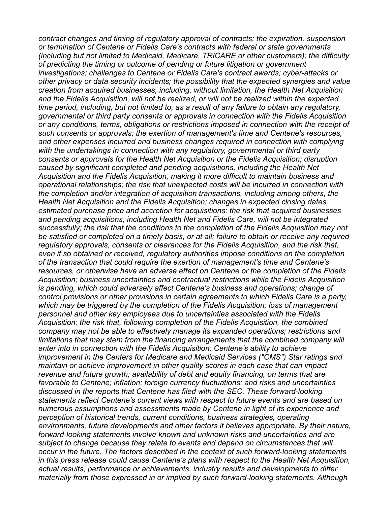*contract changes and timing of regulatory approval of contracts; the expiration, suspension or termination of Centene or Fidelis Care's contracts with federal or state governments (including but not limited to Medicaid, Medicare, TRICARE or other customers); the difficulty of predicting the timing or outcome of pending or future litigation or government investigations; challenges to Centene or Fidelis Care's contract awards; cyber-attacks or other privacy or data security incidents; the possibility that the expected synergies and value creation from acquired businesses, including, without limitation, the Health Net Acquisition and the Fidelis Acquisition, will not be realized, or will not be realized within the expected time period, including, but not limited to, as a result of any failure to obtain any regulatory, governmental or third party consents or approvals in connection with the Fidelis Acquisition or any conditions, terms, obligations or restrictions imposed in connection with the receipt of such consents or approvals; the exertion of management's time and Centene's resources, and other expenses incurred and business changes required in connection with complying with the undertakings in connection with any regulatory, governmental or third party consents or approvals for the Health Net Acquisition or the Fidelis Acquisition; disruption caused by significant completed and pending acquisitions, including the Health Net Acquisition and the Fidelis Acquisition, making it more difficult to maintain business and operational relationships; the risk that unexpected costs will be incurred in connection with the completion and/or integration of acquisition transactions, including among others, the Health Net Acquisition and the Fidelis Acquisition; changes in expected closing dates, estimated purchase price and accretion for acquisitions; the risk that acquired businesses and pending acquisitions, including Health Net and Fidelis Care, will not be integrated successfully; the risk that the conditions to the completion of the Fidelis Acquisition may not be satisfied or completed on a timely basis, or at all; failure to obtain or receive any required regulatory approvals, consents or clearances for the Fidelis Acquisition, and the risk that, even if so obtained or received, regulatory authorities impose conditions on the completion of the transaction that could require the exertion of management's time and Centene's resources, or otherwise have an adverse effect on Centene or the completion of the Fidelis Acquisition; business uncertainties and contractual restrictions while the Fidelis Acquisition is pending, which could adversely affect Centene's business and operations; change of control provisions or other provisions in certain agreements to which Fidelis Care is a party, which may be triggered by the completion of the Fidelis Acquisition; loss of management personnel and other key employees due to uncertainties associated with the Fidelis Acquisition; the risk that, following completion of the Fidelis Acquisition, the combined company may not be able to effectively manage its expanded operations; restrictions and limitations that may stem from the financing arrangements that the combined company will enter into in connection with the Fidelis Acquisition; Centene's ability to achieve improvement in the Centers for Medicare and Medicaid Services ("CMS") Star ratings and maintain or achieve improvement in other quality scores in each case that can impact revenue and future growth; availability of debt and equity financing, on terms that are favorable to Centene; inflation; foreign currency fluctuations; and risks and uncertainties discussed in the reports that Centene has filed with the SEC. These forward-looking statements reflect Centene's current views with respect to future events and are based on numerous assumptions and assessments made by Centene in light of its experience and perception of historical trends, current conditions, business strategies, operating environments, future developments and other factors it believes appropriate. By their nature, forward-looking statements involve known and unknown risks and uncertainties and are subject to change because they relate to events and depend on circumstances that will occur in the future. The factors described in the context of such forward-looking statements in this press release could cause Centene's plans with respect to the Health Net Acquisition, actual results, performance or achievements, industry results and developments to differ materially from those expressed in or implied by such forward-looking statements. Although*